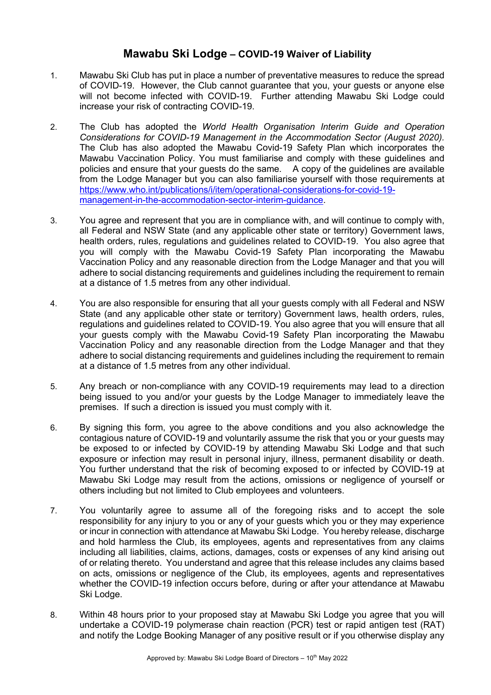## **Mawabu Ski Lodge – COVID-19 Waiver of Liability**

- 1. Mawabu Ski Club has put in place a number of preventative measures to reduce the spread of COVID-19. However, the Club cannot guarantee that you, your guests or anyone else will not become infected with COVID-19. Further attending Mawabu Ski Lodge could increase your risk of contracting COVID-19.
- 2. The Club has adopted the *World Health Organisation Interim Guide and Operation Considerations for COVID-19 Management in the Accommodation Sector (August 2020).* The Club has also adopted the Mawabu Covid-19 Safety Plan which incorporates the Mawabu Vaccination Policy. You must familiarise and comply with these guidelines and policies and ensure that your guests do the same. A copy of the guidelines are available from the Lodge Manager but you can also familiarise yourself with those requirements at https://www.who.int/publications/i/item/operational-considerations-for-covid-19 management-in-the-accommodation-sector-interim-guidance.
- 3. You agree and represent that you are in compliance with, and will continue to comply with, all Federal and NSW State (and any applicable other state or territory) Government laws, health orders, rules, regulations and guidelines related to COVID-19. You also agree that you will comply with the Mawabu Covid-19 Safety Plan incorporating the Mawabu Vaccination Policy and any reasonable direction from the Lodge Manager and that you will adhere to social distancing requirements and guidelines including the requirement to remain at a distance of 1.5 metres from any other individual.
- 4. You are also responsible for ensuring that all your guests comply with all Federal and NSW State (and any applicable other state or territory) Government laws, health orders, rules, regulations and guidelines related to COVID-19. You also agree that you will ensure that all your guests comply with the Mawabu Covid-19 Safety Plan incorporating the Mawabu Vaccination Policy and any reasonable direction from the Lodge Manager and that they adhere to social distancing requirements and guidelines including the requirement to remain at a distance of 1.5 metres from any other individual.
- 5. Any breach or non-compliance with any COVID-19 requirements may lead to a direction being issued to you and/or your guests by the Lodge Manager to immediately leave the premises. If such a direction is issued you must comply with it.
- 6. By signing this form, you agree to the above conditions and you also acknowledge the contagious nature of COVID-19 and voluntarily assume the risk that you or your guests may be exposed to or infected by COVID-19 by attending Mawabu Ski Lodge and that such exposure or infection may result in personal injury, illness, permanent disability or death. You further understand that the risk of becoming exposed to or infected by COVID-19 at Mawabu Ski Lodge may result from the actions, omissions or negligence of yourself or others including but not limited to Club employees and volunteers.
- 7. You voluntarily agree to assume all of the foregoing risks and to accept the sole responsibility for any injury to you or any of your guests which you or they may experience or incur in connection with attendance at Mawabu Ski Lodge. You hereby release, discharge and hold harmless the Club, its employees, agents and representatives from any claims including all liabilities, claims, actions, damages, costs or expenses of any kind arising out of or relating thereto. You understand and agree that this release includes any claims based on acts, omissions or negligence of the Club, its employees, agents and representatives whether the COVID-19 infection occurs before, during or after your attendance at Mawabu Ski Lodge.
- 8. Within 48 hours prior to your proposed stay at Mawabu Ski Lodge you agree that you will undertake a COVID-19 polymerase chain reaction (PCR) test or rapid antigen test (RAT) and notify the Lodge Booking Manager of any positive result or if you otherwise display any